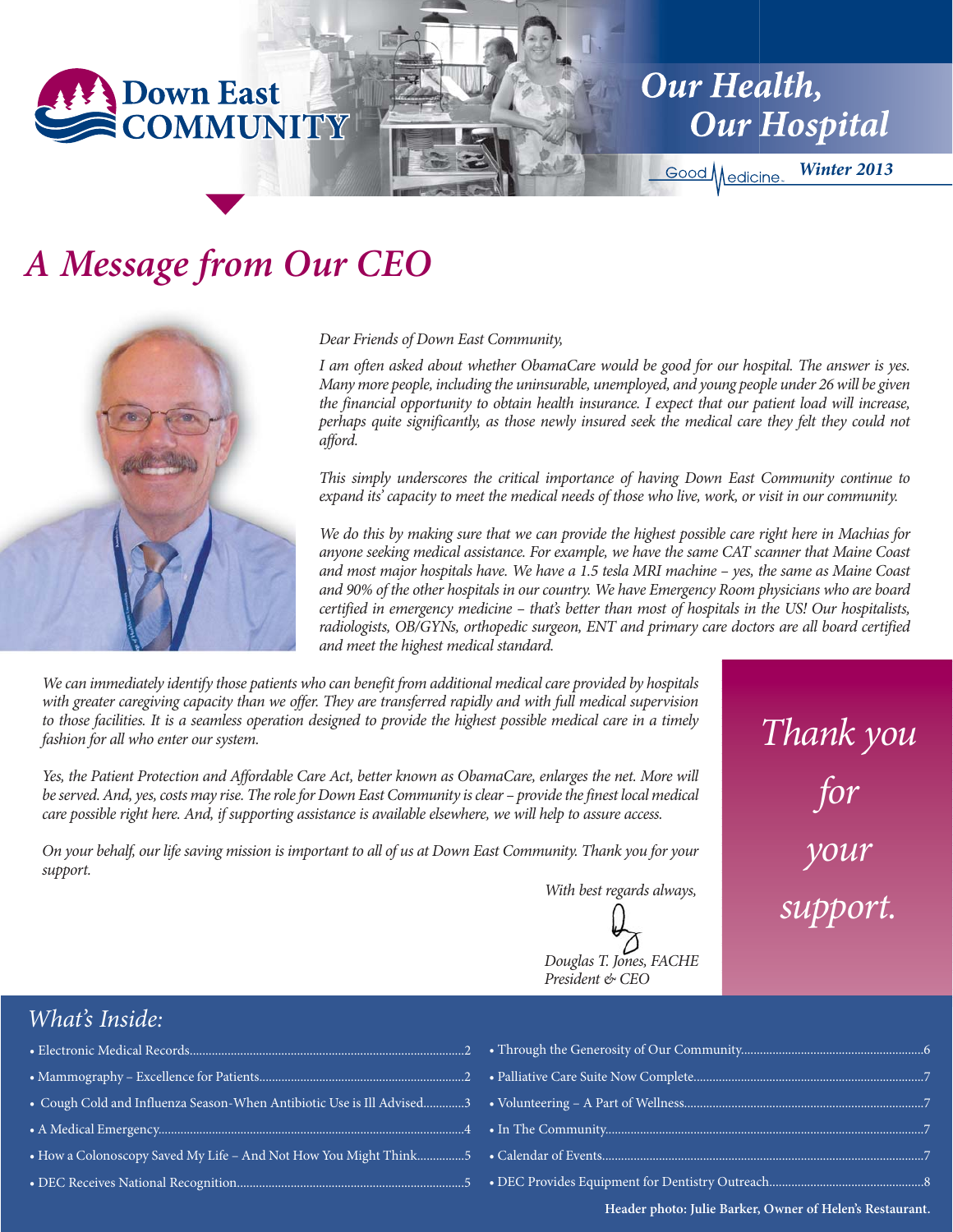

**Our Health, Our Hospital** 

Good Medicine

*Winter 2013*

*Thank you*

*for*

*your*

*support.*

## *A Message from Our CEO*



*Dear Friends of Down East Community,*

*I am often asked about whether ObamaCare would be good for our hospital. The answer is yes. Many more people, including the uninsurable, unemployed, and young people under 26 will be given the financial opportunity to obtain health insurance. I expect that our patient load will increase, perhaps quite significantly, as those newly insured seek the medical care they felt they could not afford.* 

*This simply underscores the critical importance of having Down East Community continue to expand its' capacity to meet the medical needs of those who live, work, or visit in our community.*

*We do this by making sure that we can provide the highest possible care right here in Machias for anyone seeking medical assistance. For example, we have the same CAT scanner that Maine Coast and most major hospitals have. We have a 1.5 tesla MRI machine – yes, the same as Maine Coast and 90% of the other hospitals in our country. We have Emergency Room physicians who are board certified in emergency medicine – that's better than most of hospitals in the US! Our hospitalists, radiologists, OB/GYNs, orthopedic surgeon, ENT and primary care doctors are all board certified and meet the highest medical standard.*

*We can immediately identify those patients who can benefit from additional medical care provided by hospitals with greater caregiving capacity than we offer. They are transferred rapidly and with full medical supervision to those facilities. It is a seamless operation designed to provide the highest possible medical care in a timely fashion for all who enter our system.*

*Yes, the Patient Protection and Affordable Care Act, better known as ObamaCare, enlarges the net. More will be served. And, yes, costs may rise. The role for Down East Community is clear – provide the finest local medical care possible right here. And, if supporting assistance is available elsewhere, we will help to assure access.* 

*On your behalf, our life saving mission is important to all of us at Down East Community. Thank you for your support.*

*With best regards always,*

*Douglas T. Jones, FACHE President & CEO*

#### *What's Inside:*

- Electronic Medical Records.......................................................................................2
- Mammography Excellence for Patients.................................................................2
- Cough Cold and Influenza Season-When Antibiotic Use is Ill Advised.............3
- A Medical Emergency.................................................................................................4
- How a Colonoscopy Saved My Life And Not How You Might Think...
- DEC Receives National Recognition............................

**Header photo: Julie Barker, Owner of Helen's Restaurant.**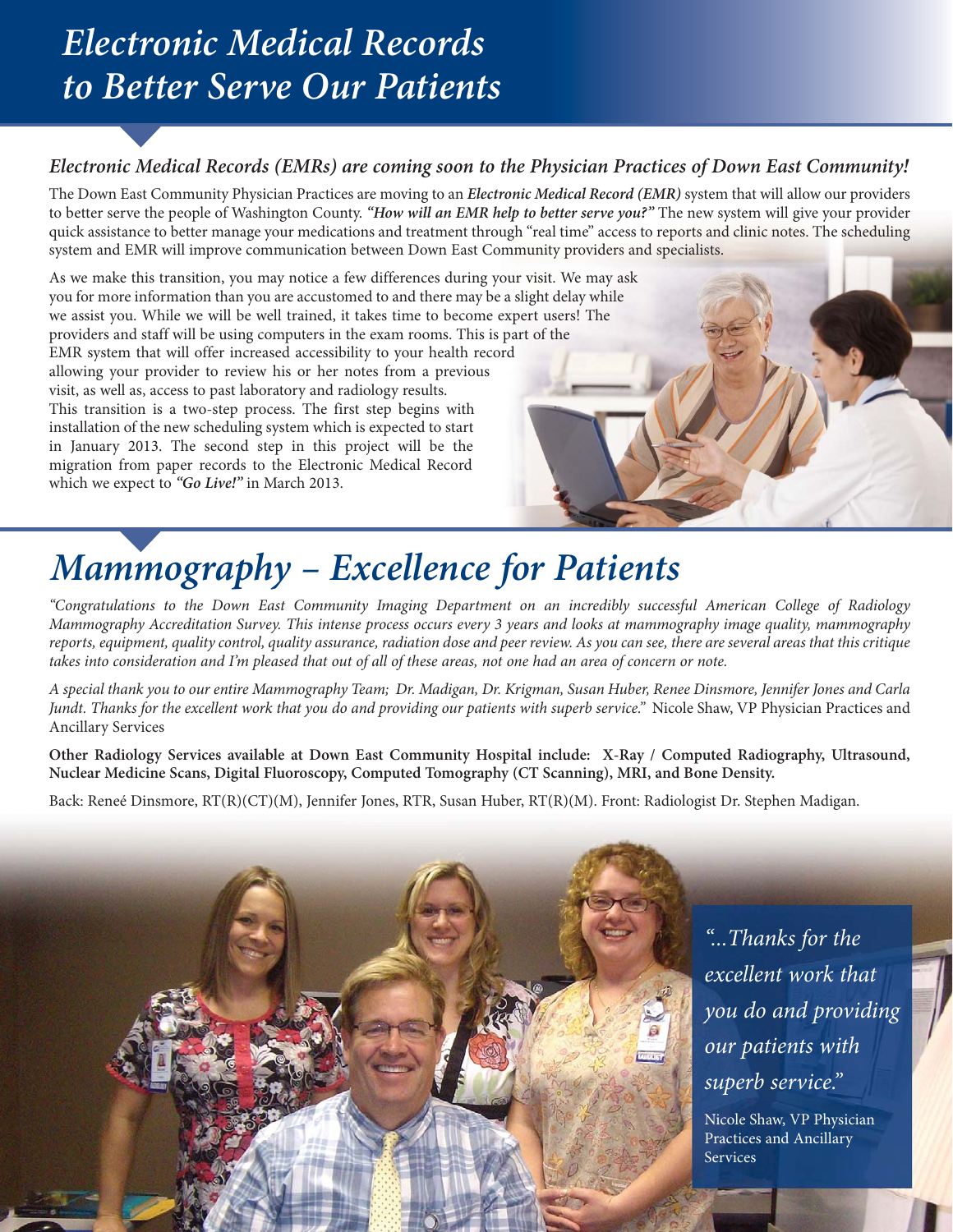## *Electronic Medical Records to Better Serve Our Patients*

#### *Electronic Medical Records (EMRs) are coming soon to the Physician Practices of Down East Community!*

The Down East Community Physician Practices are moving to an *Electronic Medical Record (EMR)* system that will allow our providers to better serve the people of Washington County. *"How will an EMR help to better serve you?"* The new system will give your provider quick assistance to better manage your medications and treatment through "real time" access to reports and clinic notes. The scheduling system and EMR will improve communication between Down East Community providers and specialists.

As we make this transition, you may notice a few differences during your visit. We may ask you for more information than you are accustomed to and there may be a slight delay while we assist you. While we will be well trained, it takes time to become expert users! The providers and staff will be using computers in the exam rooms. This is part of the EMR system that will offer increased accessibility to your health record allowing your provider to review his or her notes from a previous visit, as well as, access to past laboratory and radiology results. This transition is a two-step process. The first step begins with installation of the new scheduling system which is expected to start in January 2013. The second step in this project will be the migration from paper records to the Electronic Medical Record which we expect to *"Go Live!"* in March 2013.



## *Mammography – Excellence for Patients*

*"Congratulations to the Down East Community Imaging Department on an incredibly successful American College of Radiology Mammography Accreditation Survey. This intense process occurs every 3 years and looks at mammography image quality, mammography reports, equipment, quality control, quality assurance, radiation dose and peer review. As you can see, there are several areas that this critique takes into consideration and I'm pleased that out of all of these areas, not one had an area of concern or note.* 

*A special thank you to our entire Mammography Team; Dr. Madigan, Dr. Krigman, Susan Huber, Renee Dinsmore, Jennifer Jones and Carla Jundt. Thanks for the excellent work that you do and providing our patients with superb service."* Nicole Shaw, VP Physician Practices and Ancillary Services

**Other Radiology Services available at Down East Community Hospital include: X-Ray / Computed Radiography, Ultrasound, Nuclear Medicine Scans, Digital Fluoroscopy, Computed Tomography (CT Scanning), MRI, and Bone Density.**

Back: Reneé Dinsmore, RT(R)(CT)(M), Jennifer Jones, RTR, Susan Huber, RT(R)(M). Front: Radiologist Dr. Stephen Madigan.

*"...Thanks for the excellent work that you do and providing our patients with superb service."*

Nicole Shaw, VP Physician Practices and Ancillary Services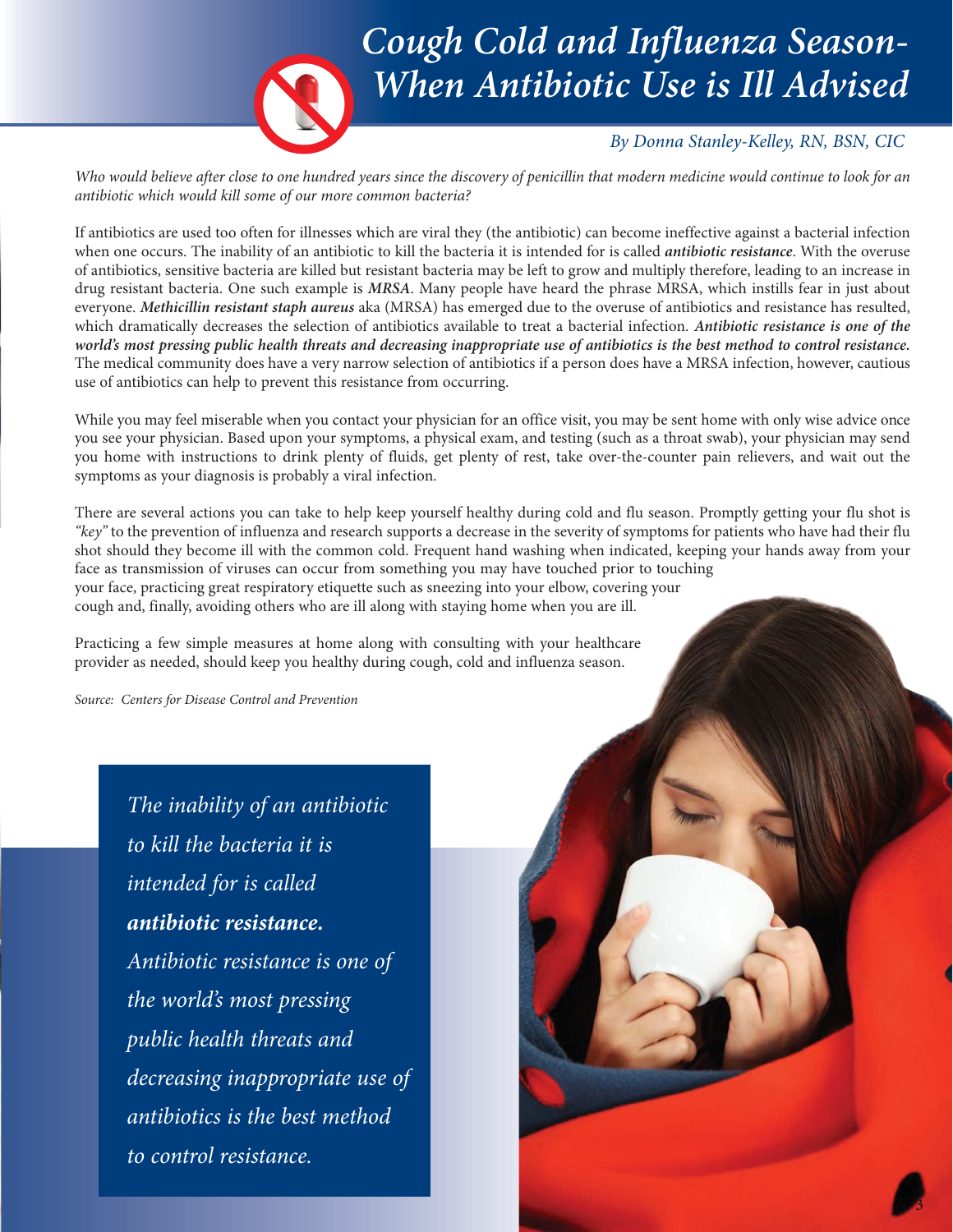

### *Cough Cold and Influenza Season-When Antibiotic Use is Ill Advised*

#### *By Donna Stanley-Kelley, RN, BSN, CIC*

**3**

*Who would believe after close to one hundred years since the discovery of penicillin that modern medicine would continue to look for an antibiotic which would kill some of our more common bacteria?*

If antibiotics are used too often for illnesses which are viral they (the antibiotic) can become ineffective against a bacterial infection when one occurs. The inability of an antibiotic to kill the bacteria it is intended for is called *antibiotic resistance*. With the overuse of antibiotics, sensitive bacteria are killed but resistant bacteria may be left to grow and multiply therefore, leading to an increase in drug resistant bacteria. One such example is *MRSA*. Many people have heard the phrase MRSA, which instills fear in just about everyone. *Methicillin resistant staph aureus* aka (MRSA) has emerged due to the overuse of antibiotics and resistance has resulted, which dramatically decreases the selection of antibiotics available to treat a bacterial infection. *Antibiotic resistance is one of the world's most pressing public health threats and decreasing inappropriate use of antibiotics is the best method to control resistance.* The medical community does have a very narrow selection of antibiotics if a person does have a MRSA infection, however, cautious use of antibiotics can help to prevent this resistance from occurring.

While you may feel miserable when you contact your physician for an office visit, you may be sent home with only wise advice once you see your physician. Based upon your symptoms, a physical exam, and testing (such as a throat swab), your physician may send you home with instructions to drink plenty of fluids, get plenty of rest, take over-the-counter pain relievers, and wait out the symptoms as your diagnosis is probably a viral infection.

There are several actions you can take to help keep yourself healthy during cold and flu season. Promptly getting your flu shot is *"key"* to the prevention of influenza and research supports a decrease in the severity of symptoms for patients who have had their flu shot should they become ill with the common cold. Frequent hand washing when indicated, keeping your hands away from your face as transmission of viruses can occur from something you may have touched prior to touching your face, practicing great respiratory etiquette such as sneezing into your elbow, covering your cough and, finally, avoiding others who are ill along with staying home when you are ill.

Practicing a few simple measures at home along with consulting with your healthcare provider as needed, should keep you healthy during cough, cold and influenza season.

*Source: Centers for Disease Control and Prevention*

*The inability of an antibiotic to kill the bacteria it is intended for is called antibiotic resistance. Antibiotic resistance is one of the world's most pressing public health threats and decreasing inappropriate use of antibiotics is the best method to control resistance.*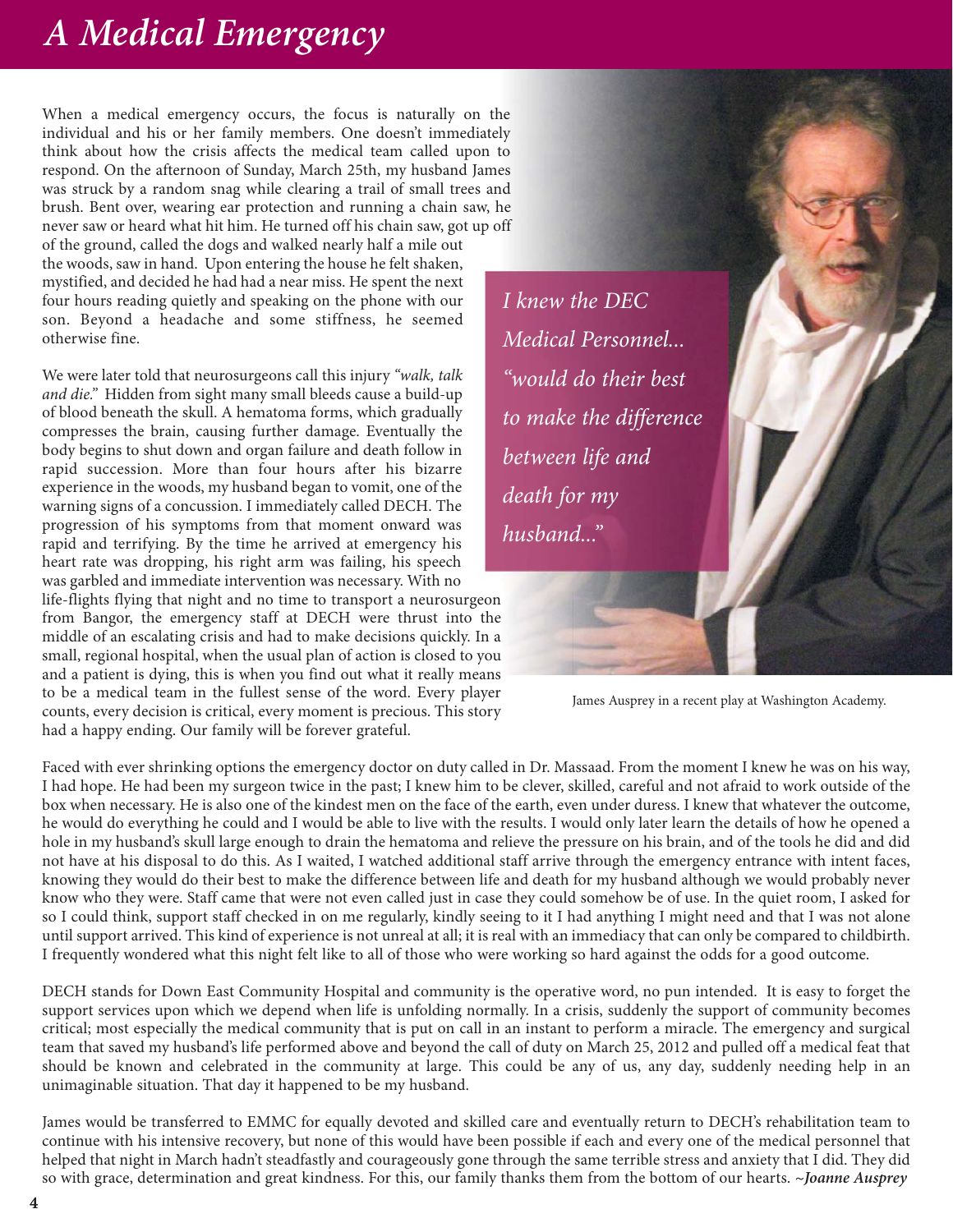## *A Medical Emergency*

When a medical emergency occurs, the focus is naturally on the individual and his or her family members. One doesn't immediately think about how the crisis affects the medical team called upon to respond. On the afternoon of Sunday, March 25th, my husband James was struck by a random snag while clearing a trail of small trees and brush. Bent over, wearing ear protection and running a chain saw, he never saw or heard what hit him. He turned off his chain saw, got up off of the ground, called the dogs and walked nearly half a mile out the woods, saw in hand. Upon entering the house he felt shaken, mystified, and decided he had had a near miss. He spent the next four hours reading quietly and speaking on the phone with our son. Beyond a headache and some stiffness, he seemed otherwise fine.

We were later told that neurosurgeons call this injury *"walk, talk and die."* Hidden from sight many small bleeds cause a build-up of blood beneath the skull. A hematoma forms, which gradually compresses the brain, causing further damage. Eventually the body begins to shut down and organ failure and death follow in rapid succession. More than four hours after his bizarre experience in the woods, my husband began to vomit, one of the warning signs of a concussion. I immediately called DECH. The progression of his symptoms from that moment onward was rapid and terrifying. By the time he arrived at emergency his heart rate was dropping, his right arm was failing, his speech was garbled and immediate intervention was necessary. With no

life-flights flying that night and no time to transport a neurosurgeon from Bangor, the emergency staff at DECH were thrust into the middle of an escalating crisis and had to make decisions quickly. In a small, regional hospital, when the usual plan of action is closed to you and a patient is dying, this is when you find out what it really means to be a medical team in the fullest sense of the word. Every player counts, every decision is critical, every moment is precious. This story had a happy ending. Our family will be forever grateful.

*I knew the DEC Medical Personnel... "would do their best to make the difference between life and death for my husband..."*



James Ausprey in a recent play at Washington Academy.

Faced with ever shrinking options the emergency doctor on duty called in Dr. Massaad. From the moment I knew he was on his way, I had hope. He had been my surgeon twice in the past; I knew him to be clever, skilled, careful and not afraid to work outside of the box when necessary. He is also one of the kindest men on the face of the earth, even under duress. I knew that whatever the outcome, he would do everything he could and I would be able to live with the results. I would only later learn the details of how he opened a hole in my husband's skull large enough to drain the hematoma and relieve the pressure on his brain, and of the tools he did and did not have at his disposal to do this. As I waited, I watched additional staff arrive through the emergency entrance with intent faces, knowing they would do their best to make the difference between life and death for my husband although we would probably never know who they were. Staff came that were not even called just in case they could somehow be of use. In the quiet room, I asked for so I could think, support staff checked in on me regularly, kindly seeing to it I had anything I might need and that I was not alone until support arrived. This kind of experience is not unreal at all; it is real with an immediacy that can only be compared to childbirth. I frequently wondered what this night felt like to all of those who were working so hard against the odds for a good outcome.

DECH stands for Down East Community Hospital and community is the operative word, no pun intended. It is easy to forget the support services upon which we depend when life is unfolding normally. In a crisis, suddenly the support of community becomes critical; most especially the medical community that is put on call in an instant to perform a miracle. The emergency and surgical team that saved my husband's life performed above and beyond the call of duty on March 25, 2012 and pulled off a medical feat that should be known and celebrated in the community at large. This could be any of us, any day, suddenly needing help in an unimaginable situation. That day it happened to be my husband.

James would be transferred to EMMC for equally devoted and skilled care and eventually return to DECH's rehabilitation team to continue with his intensive recovery, but none of this would have been possible if each and every one of the medical personnel that helped that night in March hadn't steadfastly and courageously gone through the same terrible stress and anxiety that I did. They did so with grace, determination and great kindness. For this, our family thanks them from the bottom of our hearts. *~Joanne Ausprey*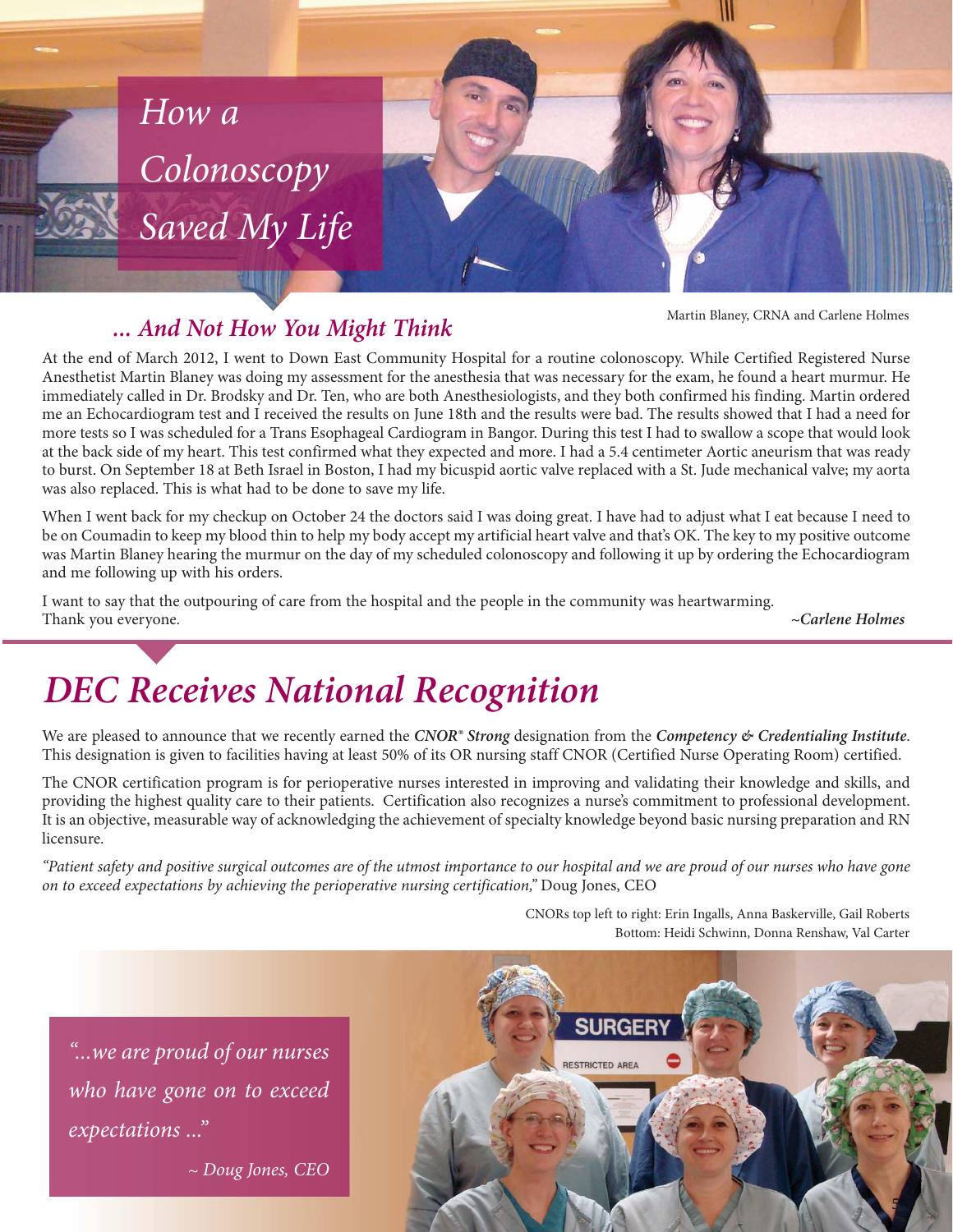

#### *... And Not How You Might Think*

Martin Blaney, CRNA and Carlene Holmes

At the end of March 2012, I went to Down East Community Hospital for a routine colonoscopy. While Certified Registered Nurse Anesthetist Martin Blaney was doing my assessment for the anesthesia that was necessary for the exam, he found a heart murmur. He immediately called in Dr. Brodsky and Dr. Ten, who are both Anesthesiologists, and they both confirmed his finding. Martin ordered me an Echocardiogram test and I received the results on June 18th and the results were bad. The results showed that I had a need for more tests so I was scheduled for a Trans Esophageal Cardiogram in Bangor. During this test I had to swallow a scope that would look at the back side of my heart. This test confirmed what they expected and more. I had a 5.4 centimeter Aortic aneurism that was ready to burst. On September 18 at Beth Israel in Boston, I had my bicuspid aortic valve replaced with a St. Jude mechanical valve; my aorta was also replaced. This is what had to be done to save my life.

When I went back for my checkup on October 24 the doctors said I was doing great. I have had to adjust what I eat because I need to be on Coumadin to keep my blood thin to help my body accept my artificial heart valve and that's OK. The key to my positive outcome was Martin Blaney hearing the murmur on the day of my scheduled colonoscopy and following it up by ordering the Echocardiogram and me following up with his orders.

I want to say that the outpouring of care from the hospital and the people in the community was heartwarming. Thank you everyone. *~Carlene Holmes*

## *DEC Receives National Recognition*

We are pleased to announce that we recently earned the *CNOR<sup>®</sup> Strong* designation from the *Competency & Credentialing Institute*. This designation is given to facilities having at least 50% of its OR nursing staff CNOR (Certified Nurse Operating Room) certified.

The CNOR certification program is for perioperative nurses interested in improving and validating their knowledge and skills, and providing the highest quality care to their patients. Certification also recognizes a nurse's commitment to professional development. It is an objective, measurable way of acknowledging the achievement of specialty knowledge beyond basic nursing preparation and RN licensure.

*"Patient safety and positive surgical outcomes are of the utmost importance to our hospital and we are proud of our nurses who have gone on to exceed expectations by achieving the perioperative nursing certification,"* Doug Jones, CEO

> CNORs top left to right: Erin Ingalls, Anna Baskerville, Gail Roberts Bottom: Heidi Schwinn, Donna Renshaw, Val Carter

*"...we are proud of our nurses who have gone on to exceed expectations ..."*

*~ Doug Jones, CEO*

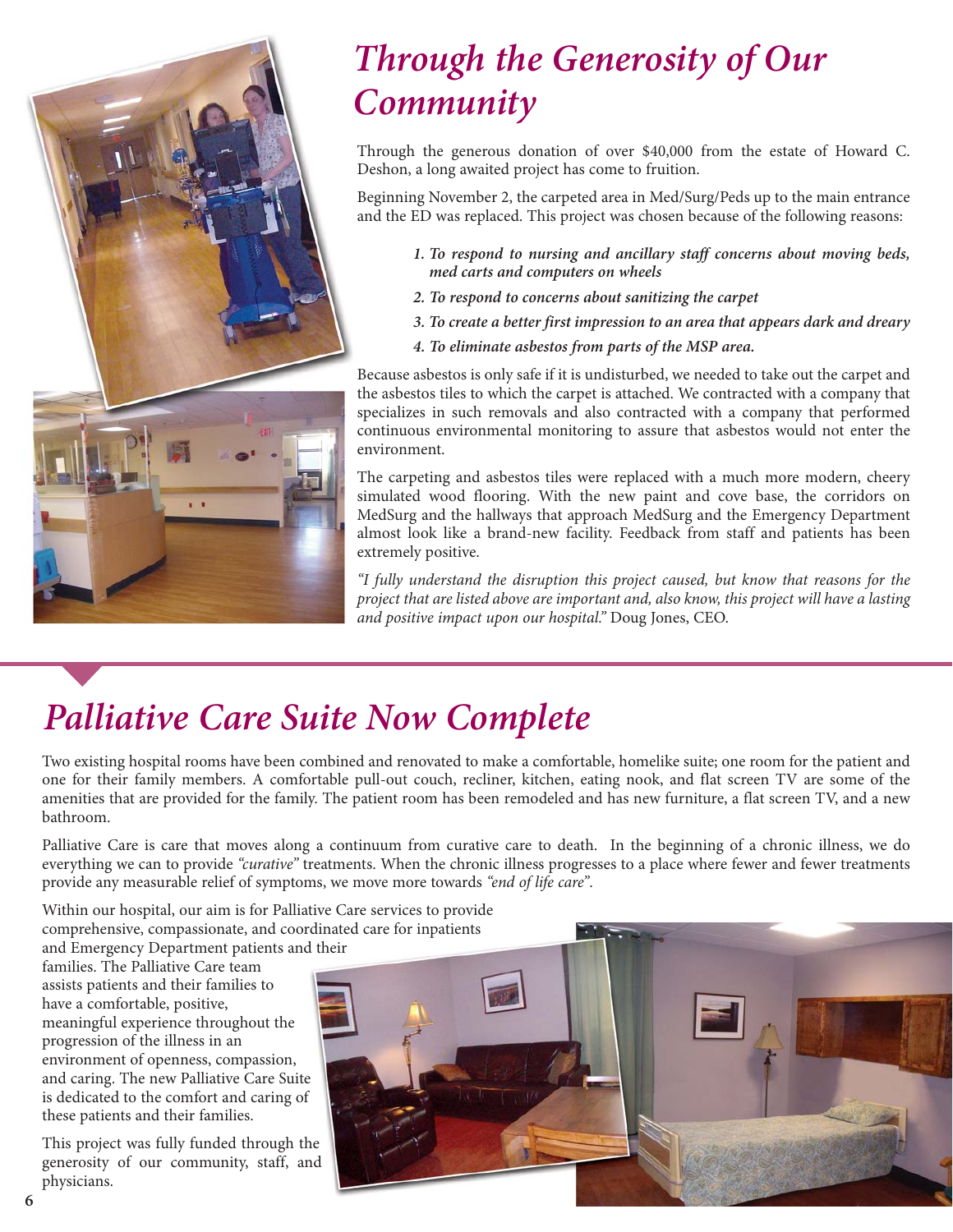

## *Through the Generosity of Our Community*

Through the generous donation of over \$40,000 from the estate of Howard C. Deshon, a long awaited project has come to fruition.

Beginning November 2, the carpeted area in Med/Surg/Peds up to the main entrance and the ED was replaced. This project was chosen because of the following reasons:

- *1. To respond to nursing and ancillary staff concerns about moving beds, med carts and computers on wheels*
- *2. To respond to concerns about sanitizing the carpet*
- *3. To create a better first impression to an area that appears dark and dreary*
- *4. To eliminate asbestos from parts of the MSP area.*

Because asbestos is only safe if it is undisturbed, we needed to take out the carpet and the asbestos tiles to which the carpet is attached. We contracted with a company that specializes in such removals and also contracted with a company that performed continuous environmental monitoring to assure that asbestos would not enter the environment.

The carpeting and asbestos tiles were replaced with a much more modern, cheery simulated wood flooring. With the new paint and cove base, the corridors on MedSurg and the hallways that approach MedSurg and the Emergency Department almost look like a brand-new facility. Feedback from staff and patients has been extremely positive.

*"I fully understand the disruption this project caused, but know that reasons for the project that are listed above are important and, also know, this project will have a lasting and positive impact upon our hospital."* Doug Jones, CEO.

# *Palliative Care Suite Now Complete*

Two existing hospital rooms have been combined and renovated to make a comfortable, homelike suite; one room for the patient and one for their family members. A comfortable pull-out couch, recliner, kitchen, eating nook, and flat screen TV are some of the amenities that are provided for the family. The patient room has been remodeled and has new furniture, a flat screen TV, and a new bathroom.

Palliative Care is care that moves along a continuum from curative care to death. In the beginning of a chronic illness, we do everything we can to provide *"curative"* treatments. When the chronic illness progresses to a place where fewer and fewer treatments provide any measurable relief of symptoms, we move more towards *"end of life care"*.

Within our hospital, our aim is for Palliative Care services to provide comprehensive, compassionate, and coordinated care for inpatients and Emergency Department patients and their

families. The Palliative Care team assists patients and their families to have a comfortable, positive, meaningful experience throughout the progression of the illness in an environment of openness, compassion, and caring. The new Palliative Care Suite is dedicated to the comfort and caring of these patients and their families.

This project was fully funded through the generosity of our community, staff, and physicians.

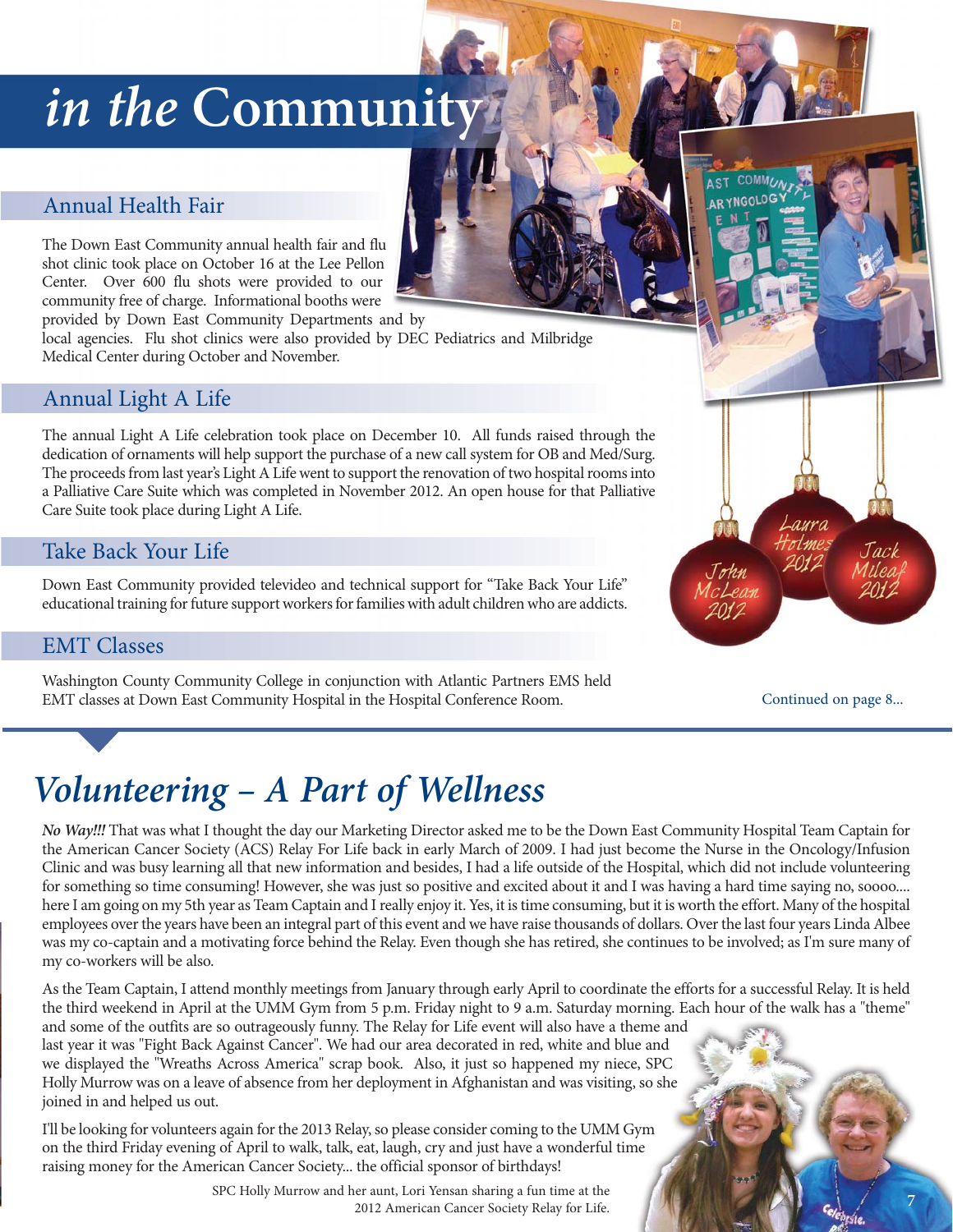# *in the* **Community**

#### Annual Health Fair

The Down East Community annual health fair and flu shot clinic took place on October 16 at the Lee Pellon Center. Over 600 flu shots were provided to our community free of charge. Informational booths were

provided by Down East Community Departments and by

local agencies. Flu shot clinics were also provided by DEC Pediatrics and Milbridge Medical Center during October and November.

#### Annual Light A Life

The annual Light A Life celebration took place on December 10. All funds raised through the dedication of ornaments will help support the purchase of a new call system for OB and Med/Surg. The proceeds from last year's Light A Life went to support the renovation of two hospital rooms into a Palliative Care Suite which was completed in November 2012. An open house for that Palliative Care Suite took place during Light A Life.

#### Take Back Your Life

Down East Community provided televideo and technical support for "Take Back Your Life" educational training for future support workers for families with adult children who are addicts.

#### EMT Classes

Washington County Community College in conjunction with Atlantic Partners EMS held EMT classes at Down East Community Hospital in the Hospital Conference Room.

Continued on page 8...

Jack

## *Volunteering – A Part of Wellness*

*No Way!!!* That was what I thought the day our Marketing Director asked me to be the Down East Community Hospital Team Captain for the American Cancer Society (ACS) Relay For Life back in early March of 2009. I had just become the Nurse in the Oncology/Infusion Clinic and was busy learning all that new information and besides, I had a life outside of the Hospital, which did not include volunteering for something so time consuming! However, she was just so positive and excited about it and I was having a hard time saying no, soooo.... here I am going on my 5th year as Team Captain and I really enjoy it. Yes, it is time consuming, but it is worth the effort. Many of the hospital employees over the years have been an integral part of this event and we have raise thousands of dollars. Over the last four years Linda Albee was my co-captain and a motivating force behind the Relay. Even though she has retired, she continues to be involved; as I'm sure many of my co-workers will be also.

As the Team Captain, I attend monthly meetings from January through early April to coordinate the efforts for a successful Relay. It is held the third weekend in April at the UMM Gym from 5 p.m. Friday night to 9 a.m. Saturday morning. Each hour of the walk has a "theme"

and some of the outfits are so outrageously funny. The Relay for Life event will also have a theme and last year it was "Fight Back Against Cancer". We had our area decorated in red, white and blue and we displayed the "Wreaths Across America" scrap book. Also, it just so happened my niece, SPC Holly Murrow was on a leave of absence from her deployment in Afghanistan and was visiting, so she joined in and helped us out.

I'll be looking for volunteers again for the 2013 Relay, so please consider coming to the UMM Gym on the third Friday evening of April to walk, talk, eat, laugh, cry and just have a wonderful time raising money for the American Cancer Society... the official sponsor of birthdays!

> SPC Holly Murrow and her aunt, Lori Yensan sharing a fun time at the 2012 American Cancer Society Relay for Life. **7**